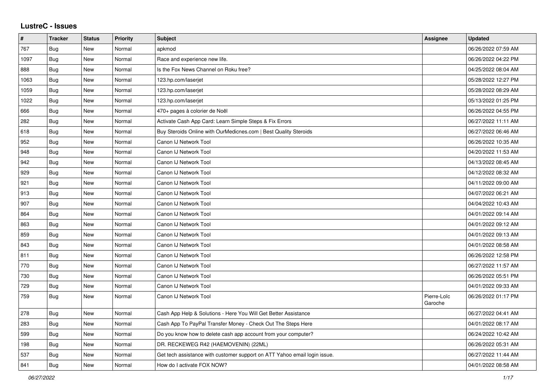## **LustreC - Issues**

| #    | <b>Tracker</b> | <b>Status</b> | <b>Priority</b> | <b>Subject</b>                                                            | Assignee               | <b>Updated</b>      |
|------|----------------|---------------|-----------------|---------------------------------------------------------------------------|------------------------|---------------------|
| 767  | Bug            | New           | Normal          | apkmod                                                                    |                        | 06/26/2022 07:59 AM |
| 1097 | Bug            | <b>New</b>    | Normal          | Race and experience new life.                                             |                        | 06/26/2022 04:22 PM |
| 888  | Bug            | <b>New</b>    | Normal          | Is the Fox News Channel on Roku free?                                     |                        | 04/25/2022 08:04 AM |
| 1063 | Bug            | <b>New</b>    | Normal          | 123.hp.com/laserjet                                                       |                        | 05/28/2022 12:27 PM |
| 1059 | <b>Bug</b>     | <b>New</b>    | Normal          | 123.hp.com/laserjet                                                       |                        | 05/28/2022 08:29 AM |
| 1022 | Bug            | <b>New</b>    | Normal          | 123.hp.com/laserjet                                                       |                        | 05/13/2022 01:25 PM |
| 666  | <b>Bug</b>     | <b>New</b>    | Normal          | 470+ pages à colorier de Noël                                             |                        | 06/26/2022 04:55 PM |
| 282  | Bug            | <b>New</b>    | Normal          | Activate Cash App Card: Learn Simple Steps & Fix Errors                   |                        | 06/27/2022 11:11 AM |
| 618  | <b>Bug</b>     | <b>New</b>    | Normal          | Buy Steroids Online with OurMedicnes.com   Best Quality Steroids          |                        | 06/27/2022 06:46 AM |
| 952  | Bug            | <b>New</b>    | Normal          | Canon IJ Network Tool                                                     |                        | 06/26/2022 10:35 AM |
| 948  | Bug            | New           | Normal          | Canon IJ Network Tool                                                     |                        | 04/20/2022 11:53 AM |
| 942  | <b>Bug</b>     | <b>New</b>    | Normal          | Canon IJ Network Tool                                                     |                        | 04/13/2022 08:45 AM |
| 929  | Bug            | <b>New</b>    | Normal          | Canon IJ Network Tool                                                     |                        | 04/12/2022 08:32 AM |
| 921  | Bug            | <b>New</b>    | Normal          | Canon IJ Network Tool                                                     |                        | 04/11/2022 09:00 AM |
| 913  | Bug            | <b>New</b>    | Normal          | Canon IJ Network Tool                                                     |                        | 04/07/2022 06:21 AM |
| 907  | <b>Bug</b>     | <b>New</b>    | Normal          | Canon IJ Network Tool                                                     |                        | 04/04/2022 10:43 AM |
| 864  | <b>Bug</b>     | <b>New</b>    | Normal          | Canon IJ Network Tool                                                     |                        | 04/01/2022 09:14 AM |
| 863  | Bug            | <b>New</b>    | Normal          | Canon IJ Network Tool                                                     |                        | 04/01/2022 09:12 AM |
| 859  | Bug            | <b>New</b>    | Normal          | Canon IJ Network Tool                                                     |                        | 04/01/2022 09:13 AM |
| 843  | Bug            | <b>New</b>    | Normal          | Canon IJ Network Tool                                                     |                        | 04/01/2022 08:58 AM |
| 811  | Bug            | <b>New</b>    | Normal          | Canon IJ Network Tool                                                     |                        | 06/26/2022 12:58 PM |
| 770  | Bug            | <b>New</b>    | Normal          | Canon IJ Network Tool                                                     |                        | 06/27/2022 11:57 AM |
| 730  | Bug            | <b>New</b>    | Normal          | Canon IJ Network Tool                                                     |                        | 06/26/2022 05:51 PM |
| 729  | Bug            | New           | Normal          | Canon IJ Network Tool                                                     |                        | 04/01/2022 09:33 AM |
| 759  | Bug            | <b>New</b>    | Normal          | Canon IJ Network Tool                                                     | Pierre-Loïc<br>Garoche | 06/26/2022 01:17 PM |
| 278  | Bug            | New           | Normal          | Cash App Help & Solutions - Here You Will Get Better Assistance           |                        | 06/27/2022 04:41 AM |
| 283  | Bug            | <b>New</b>    | Normal          | Cash App To PayPal Transfer Money - Check Out The Steps Here              |                        | 04/01/2022 08:17 AM |
| 599  | Bug            | <b>New</b>    | Normal          | Do you know how to delete cash app account from your computer?            |                        | 06/24/2022 10:42 AM |
| 198  | Bug            | <b>New</b>    | Normal          | DR. RECKEWEG R42 (HAEMOVENIN) (22ML)                                      |                        | 06/26/2022 05:31 AM |
| 537  | Bug            | <b>New</b>    | Normal          | Get tech assistance with customer support on ATT Yahoo email login issue. |                        | 06/27/2022 11:44 AM |
| 841  | Bug            | New           | Normal          | How do I activate FOX NOW?                                                |                        | 04/01/2022 08:58 AM |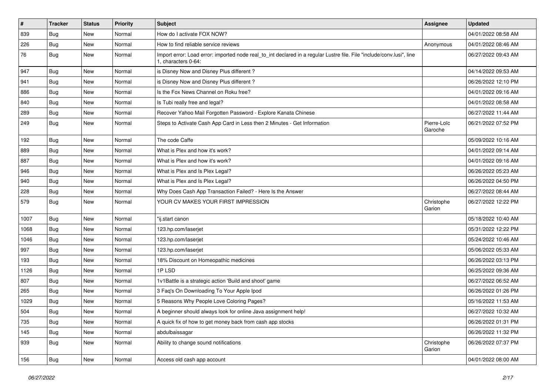| $\sharp$ | <b>Tracker</b> | <b>Status</b> | <b>Priority</b> | <b>Subject</b>                                                                                                                               | Assignee               | <b>Updated</b>      |
|----------|----------------|---------------|-----------------|----------------------------------------------------------------------------------------------------------------------------------------------|------------------------|---------------------|
| 839      | <b>Bug</b>     | New           | Normal          | How do I activate FOX NOW?                                                                                                                   |                        | 04/01/2022 08:58 AM |
| 226      | Bug            | <b>New</b>    | Normal          | How to find reliable service reviews                                                                                                         | Anonymous              | 04/01/2022 08:46 AM |
| 76       | Bug            | New           | Normal          | Import error: Load error: imported node real_to_int declared in a regular Lustre file. File "include/conv.lusi", line<br>1. characters 0-64: |                        | 06/27/2022 09:43 AM |
| 947      | Bug            | <b>New</b>    | Normal          | is Disney Now and Disney Plus different?                                                                                                     |                        | 04/14/2022 09:53 AM |
| 941      | Bug            | <b>New</b>    | Normal          | is Disney Now and Disney Plus different?                                                                                                     |                        | 06/26/2022 12:10 PM |
| 886      | Bug            | <b>New</b>    | Normal          | Is the Fox News Channel on Roku free?                                                                                                        |                        | 04/01/2022 09:16 AM |
| 840      | Bug            | <b>New</b>    | Normal          | Is Tubi really free and legal?                                                                                                               |                        | 04/01/2022 08:58 AM |
| 289      | Bug            | <b>New</b>    | Normal          | Recover Yahoo Mail Forgotten Password - Explore Kanata Chinese                                                                               |                        | 06/27/2022 11:44 AM |
| 249      | Bug            | <b>New</b>    | Normal          | Steps to Activate Cash App Card in Less then 2 Minutes - Get Information                                                                     | Pierre-Loïc<br>Garoche | 06/21/2022 07:52 PM |
| 192      | Bug            | <b>New</b>    | Normal          | The code Caffe                                                                                                                               |                        | 05/09/2022 10:16 AM |
| 889      | Bug            | New           | Normal          | What is Plex and how it's work?                                                                                                              |                        | 04/01/2022 09:14 AM |
| 887      | Bug            | <b>New</b>    | Normal          | What is Plex and how it's work?                                                                                                              |                        | 04/01/2022 09:16 AM |
| 946      | Bug            | <b>New</b>    | Normal          | What is Plex and Is Plex Legal?                                                                                                              |                        | 06/26/2022 05:23 AM |
| 940      | Bug            | <b>New</b>    | Normal          | What is Plex and Is Plex Legal?                                                                                                              |                        | 06/26/2022 04:50 PM |
| 228      | Bug            | New           | Normal          | Why Does Cash App Transaction Failed? - Here Is the Answer                                                                                   |                        | 06/27/2022 08:44 AM |
| 579      | Bug            | New           | Normal          | YOUR CV MAKES YOUR FIRST IMPRESSION                                                                                                          | Christophe<br>Garion   | 06/27/2022 12:22 PM |
| 1007     | Bug            | <b>New</b>    | Normal          | "ij.start canon                                                                                                                              |                        | 05/18/2022 10:40 AM |
| 1068     | Bug            | <b>New</b>    | Normal          | 123.hp.com/laserjet                                                                                                                          |                        | 05/31/2022 12:22 PM |
| 1046     | Bug            | <b>New</b>    | Normal          | 123.hp.com/laserjet                                                                                                                          |                        | 05/24/2022 10:46 AM |
| 997      | Bug            | New           | Normal          | 123.hp.com/laserjet                                                                                                                          |                        | 05/06/2022 05:33 AM |
| 193      | Bug            | <b>New</b>    | Normal          | 18% Discount on Homeopathic medicines                                                                                                        |                        | 06/26/2022 03:13 PM |
| 1126     | Bug            | <b>New</b>    | Normal          | 1PLSD                                                                                                                                        |                        | 06/25/2022 09:36 AM |
| 807      | Bug            | <b>New</b>    | Normal          | 1v1Battle is a strategic action 'Build and shoot' game                                                                                       |                        | 06/27/2022 06:52 AM |
| 265      | Bug            | <b>New</b>    | Normal          | 3 Faq's On Downloading To Your Apple Ipod                                                                                                    |                        | 06/26/2022 01:26 PM |
| 1029     | Bug            | <b>New</b>    | Normal          | 5 Reasons Why People Love Coloring Pages?                                                                                                    |                        | 05/16/2022 11:53 AM |
| 504      | Bug            | New           | Normal          | A beginner should always look for online Java assignment help!                                                                               |                        | 06/27/2022 10:32 AM |
| 735      | Bug            | New           | Normal          | A quick fix of how to get money back from cash app stocks                                                                                    |                        | 06/26/2022 01:31 PM |
| 145      | Bug            | New           | Normal          | abdulbaissagar                                                                                                                               |                        | 06/26/2022 11:32 PM |
| 939      | Bug            | New           | Normal          | Ability to change sound notifications                                                                                                        | Christophe<br>Garion   | 06/26/2022 07:37 PM |
| 156      | <b>Bug</b>     | New           | Normal          | Access old cash app account                                                                                                                  |                        | 04/01/2022 08:00 AM |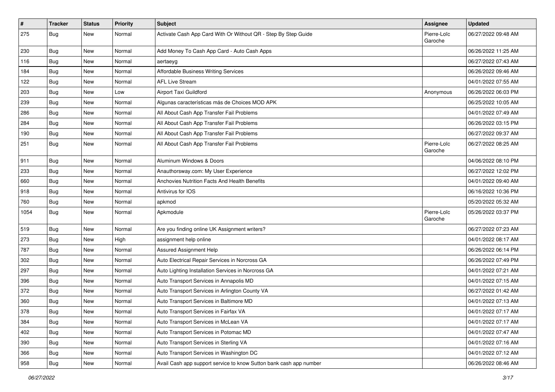| $\vert$ # | <b>Tracker</b> | <b>Status</b> | <b>Priority</b> | Subject                                                            | <b>Assignee</b>        | <b>Updated</b>      |
|-----------|----------------|---------------|-----------------|--------------------------------------------------------------------|------------------------|---------------------|
| 275       | <b>Bug</b>     | New           | Normal          | Activate Cash App Card With Or Without QR - Step By Step Guide     | Pierre-Loïc<br>Garoche | 06/27/2022 09:48 AM |
| 230       | Bug            | New           | Normal          | Add Money To Cash App Card - Auto Cash Apps                        |                        | 06/26/2022 11:25 AM |
| 116       | Bug            | New           | Normal          | aertaeyg                                                           |                        | 06/27/2022 07:43 AM |
| 184       | Bug            | <b>New</b>    | Normal          | Affordable Business Writing Services                               |                        | 06/26/2022 09:46 AM |
| 122       | Bug            | New           | Normal          | <b>AFL Live Stream</b>                                             |                        | 04/01/2022 07:55 AM |
| 203       | <b>Bug</b>     | New           | Low             | Airport Taxi Guildford                                             | Anonymous              | 06/26/2022 06:03 PM |
| 239       | <b>Bug</b>     | <b>New</b>    | Normal          | Algunas características más de Choices MOD APK                     |                        | 06/25/2022 10:05 AM |
| 286       | <b>Bug</b>     | New           | Normal          | All About Cash App Transfer Fail Problems                          |                        | 04/01/2022 07:49 AM |
| 284       | <b>Bug</b>     | <b>New</b>    | Normal          | All About Cash App Transfer Fail Problems                          |                        | 06/26/2022 03:15 PM |
| 190       | Bug            | New           | Normal          | All About Cash App Transfer Fail Problems                          |                        | 06/27/2022 09:37 AM |
| 251       | Bug            | New           | Normal          | All About Cash App Transfer Fail Problems                          | Pierre-Loïc<br>Garoche | 06/27/2022 08:25 AM |
| 911       | Bug            | New           | Normal          | Aluminum Windows & Doors                                           |                        | 04/06/2022 08:10 PM |
| 233       | Bug            | New           | Normal          | Anauthorsway.com: My User Experience                               |                        | 06/27/2022 12:02 PM |
| 660       | Bug            | <b>New</b>    | Normal          | Anchovies Nutrition Facts And Health Benefits                      |                        | 04/01/2022 09:40 AM |
| 918       | <b>Bug</b>     | New           | Normal          | Antivirus for IOS                                                  |                        | 06/16/2022 10:36 PM |
| 760       | Bug            | <b>New</b>    | Normal          | apkmod                                                             |                        | 05/20/2022 05:32 AM |
| 1054      | Bug            | New           | Normal          | Apkmodule                                                          | Pierre-Loïc<br>Garoche | 05/26/2022 03:37 PM |
| 519       | Bug            | <b>New</b>    | Normal          | Are you finding online UK Assignment writers?                      |                        | 06/27/2022 07:23 AM |
| 273       | Bug            | New           | High            | assignment help online                                             |                        | 04/01/2022 08:17 AM |
| 787       | <b>Bug</b>     | <b>New</b>    | Normal          | Assured Assignment Help                                            |                        | 06/26/2022 06:14 PM |
| 302       | Bug            | New           | Normal          | Auto Electrical Repair Services in Norcross GA                     |                        | 06/26/2022 07:49 PM |
| 297       | Bug            | <b>New</b>    | Normal          | Auto Lighting Installation Services in Norcross GA                 |                        | 04/01/2022 07:21 AM |
| 396       | <b>Bug</b>     | <b>New</b>    | Normal          | Auto Transport Services in Annapolis MD                            |                        | 04/01/2022 07:15 AM |
| 372       | <b>Bug</b>     | New           | Normal          | Auto Transport Services in Arlington County VA                     |                        | 06/27/2022 01:42 AM |
| 360       | <b>Bug</b>     | <b>New</b>    | Normal          | Auto Transport Services in Baltimore MD                            |                        | 04/01/2022 07:13 AM |
| 378       | Bug            | New           | Normal          | Auto Transport Services in Fairfax VA                              |                        | 04/01/2022 07:17 AM |
| 384       | Bug            | New           | Normal          | Auto Transport Services in McLean VA                               |                        | 04/01/2022 07:17 AM |
| 402       | Bug            | New           | Normal          | Auto Transport Services in Potomac MD                              |                        | 04/01/2022 07:47 AM |
| 390       | Bug            | New           | Normal          | Auto Transport Services in Sterling VA                             |                        | 04/01/2022 07:16 AM |
| 366       | Bug            | New           | Normal          | Auto Transport Services in Washington DC                           |                        | 04/01/2022 07:12 AM |
| 958       | <b>Bug</b>     | New           | Normal          | Avail Cash app support service to know Sutton bank cash app number |                        | 06/26/2022 08:46 AM |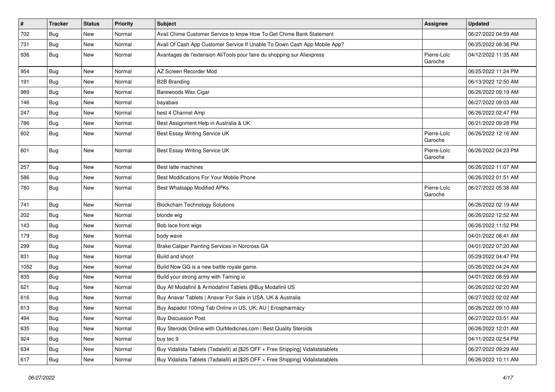| $\vert$ # | <b>Tracker</b> | <b>Status</b> | <b>Priority</b> | <b>Subject</b>                                                                   | <b>Assignee</b>        | <b>Updated</b>      |
|-----------|----------------|---------------|-----------------|----------------------------------------------------------------------------------|------------------------|---------------------|
| 702       | Bug            | New           | Normal          | Avail Chime Customer Service to know How To Get Chime Bank Statement             |                        | 06/27/2022 04:59 AM |
| 731       | Bug            | <b>New</b>    | Normal          | Avail Of Cash App Customer Service If Unable To Down Cash App Mobile App?        |                        | 06/25/2022 08:36 PM |
| 936       | Bug            | <b>New</b>    | Normal          | Avantages de l'extension AliTools pour faire du shopping sur Aliexpress          | Pierre-Loïc<br>Garoche | 04/12/2022 11:35 AM |
| 954       | Bug            | New           | Normal          | AZ Screen Recorder Mod                                                           |                        | 06/25/2022 11:24 PM |
| 191       | Bug            | New           | Normal          | <b>B2B Branding</b>                                                              |                        | 06/13/2022 12:50 AM |
| 989       | Bug            | New           | Normal          | Barewoods Wax Cigar                                                              |                        | 06/26/2022 09:19 AM |
| 146       | Bug            | <b>New</b>    | Normal          | bayabais                                                                         |                        | 06/27/2022 09:03 AM |
| 247       | <b>Bug</b>     | New           | Normal          | best 4 Channel Amp                                                               |                        | 06/26/2022 02:47 PM |
| 786       | Bug            | <b>New</b>    | Normal          | Best Assignment Help in Australia & UK                                           |                        | 06/21/2022 09:28 PM |
| 602       | Bug            | <b>New</b>    | Normal          | Best Essay Writing Service UK                                                    | Pierre-Loïc<br>Garoche | 06/26/2022 12:16 AM |
| 601       | Bug            | New           | Normal          | Best Essay Writing Service UK                                                    | Pierre-Loïc<br>Garoche | 06/26/2022 04:23 PM |
| 257       | Bug            | New           | Normal          | Best latte machines                                                              |                        | 06/26/2022 11:07 AM |
| 586       | Bug            | <b>New</b>    | Normal          | Best Modifications For Your Mobile Phone                                         |                        | 06/26/2022 01:51 AM |
| 780       | Bug            | New           | Normal          | Best Whatsapp Modified APKs                                                      | Pierre-Loïc<br>Garoche | 06/27/2022 05:38 AM |
| 741       | Bug            | <b>New</b>    | Normal          | <b>Blockchain Technology Solutions</b>                                           |                        | 06/26/2022 02:19 AM |
| 202       | Bug            | <b>New</b>    | Normal          | blonde wig                                                                       |                        | 06/26/2022 12:52 AM |
| 143       | Bug            | New           | Normal          | Bob lace front wigs                                                              |                        | 06/26/2022 11:52 PM |
| 179       | <b>Bug</b>     | New           | Normal          | body wave                                                                        |                        | 04/01/2022 08:41 AM |
| 299       | <b>Bug</b>     | New           | Normal          | Brake Caliper Painting Services in Norcross GA                                   |                        | 04/01/2022 07:20 AM |
| 831       | Bug            | <b>New</b>    | Normal          | Build and shoot                                                                  |                        | 05/29/2022 04:47 PM |
| 1052      | <b>Bug</b>     | New           | Normal          | Build Now GG is a new battle royale game.                                        |                        | 05/26/2022 04:24 AM |
| 835       | Bug            | New           | Normal          | Build your strong army with Taming io                                            |                        | 04/01/2022 08:59 AM |
| 621       | Bug            | New           | Normal          | Buy All Modafinil & Armodafinil Tablets @Buy Modafinil US                        |                        | 06/26/2022 02:20 AM |
| 616       | <b>Bug</b>     | New           | Normal          | Buy Anavar Tablets   Anavar For Sale in USA, UK & Australia                      |                        | 06/27/2022 02:02 AM |
| 613       | Bug            | <b>New</b>    | Normal          | Buy Aspadol 100mg Tab Online in US, UK, AU   Erospharmacy                        |                        | 06/26/2022 09:10 AM |
| 494       | <b>Bug</b>     | New           | Normal          | <b>Buy Discussion Post</b>                                                       |                        | 06/27/2022 03:51 AM |
| 635       | Bug            | New           | Normal          | Buy Steroids Online with OurMedicnes.com   Best Quality Steroids                 |                        | 06/26/2022 12:01 AM |
| 924       | Bug            | New           | Normal          | buy tec 9                                                                        |                        | 04/11/2022 02:54 PM |
| 634       | Bug            | New           | Normal          | Buy Vidalista Tablets (Tadalafil) at [\$25 OFF + Free Shipping] Vidalistatablets |                        | 06/27/2022 09:29 AM |
| 617       | Bug            | New           | Normal          | Buy Vidalista Tablets (Tadalafil) at [\$25 OFF + Free Shipping] Vidalistatablets |                        | 06/26/2022 10:11 AM |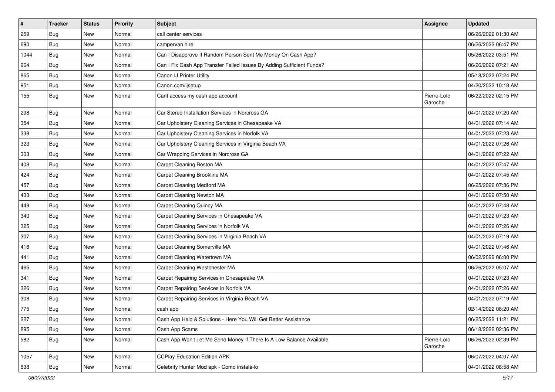| $\vert$ # | <b>Tracker</b> | <b>Status</b> | <b>Priority</b> | <b>Subject</b>                                                        | <b>Assignee</b>        | <b>Updated</b>      |
|-----------|----------------|---------------|-----------------|-----------------------------------------------------------------------|------------------------|---------------------|
| 259       | <b>Bug</b>     | New           | Normal          | call center services                                                  |                        | 06/26/2022 01:30 AM |
| 690       | <b>Bug</b>     | <b>New</b>    | Normal          | campervan hire                                                        |                        | 06/26/2022 06:47 PM |
| 1044      | Bug            | New           | Normal          | Can I Disapprove If Random Person Sent Me Money On Cash App?          |                        | 05/26/2022 03:51 PM |
| 964       | <b>Bug</b>     | New           | Normal          | Can I Fix Cash App Transfer Failed Issues By Adding Sufficient Funds? |                        | 06/26/2022 07:21 AM |
| 865       | Bug            | <b>New</b>    | Normal          | Canon IJ Printer Utility                                              |                        | 05/18/2022 07:24 PM |
| 951       | Bug            | New           | Normal          | Canon.com/ijsetup                                                     |                        | 04/20/2022 10:18 AM |
| 155       | Bug            | New           | Normal          | Cant access my cash app account                                       | Pierre-Loïc<br>Garoche | 06/22/2022 02:15 PM |
| 298       | Bug            | <b>New</b>    | Normal          | Car Stereo Installation Services in Norcross GA                       |                        | 04/01/2022 07:20 AM |
| 354       | <b>Bug</b>     | <b>New</b>    | Normal          | Car Upholstery Cleaning Services in Chesapeake VA                     |                        | 04/01/2022 07:14 AM |
| 338       | Bug            | New           | Normal          | Car Upholstery Cleaning Services in Norfolk VA                        |                        | 04/01/2022 07:23 AM |
| 323       | <b>Bug</b>     | New           | Normal          | Car Upholstery Cleaning Services in Virginia Beach VA                 |                        | 04/01/2022 07:26 AM |
| 303       | Bug            | <b>New</b>    | Normal          | Car Wrapping Services in Norcross GA                                  |                        | 04/01/2022 07:22 AM |
| 408       | <b>Bug</b>     | New           | Normal          | Carpet Cleaning Boston MA                                             |                        | 04/01/2022 07:47 AM |
| 424       | Bug            | <b>New</b>    | Normal          | Carpet Cleaning Brookline MA                                          |                        | 04/01/2022 07:45 AM |
| 457       | <b>Bug</b>     | New           | Normal          | <b>Carpet Cleaning Medford MA</b>                                     |                        | 06/25/2022 07:36 PM |
| 433       | <b>Bug</b>     | <b>New</b>    | Normal          | Carpet Cleaning Newton MA                                             |                        | 04/01/2022 07:50 AM |
| 449       | Bug            | <b>New</b>    | Normal          | Carpet Cleaning Quincy MA                                             |                        | 04/01/2022 07:48 AM |
| 340       | Bug            | New           | Normal          | Carpet Cleaning Services in Chesapeake VA                             |                        | 04/01/2022 07:23 AM |
| 325       | Bug            | New           | Normal          | Carpet Cleaning Services in Norfolk VA                                |                        | 04/01/2022 07:26 AM |
| 307       | Bug            | <b>New</b>    | Normal          | Carpet Cleaning Services in Virginia Beach VA                         |                        | 04/01/2022 07:19 AM |
| 416       | Bug            | <b>New</b>    | Normal          | Carpet Cleaning Somerville MA                                         |                        | 04/01/2022 07:46 AM |
| 441       | <b>Bug</b>     | <b>New</b>    | Normal          | Carpet Cleaning Watertown MA                                          |                        | 06/02/2022 06:00 PM |
| 465       | Bug            | New           | Normal          | Carpet Cleaning Westchester MA                                        |                        | 06/26/2022 05:07 AM |
| 341       | <b>Bug</b>     | New           | Normal          | Carpet Repairing Services in Chesapeake VA                            |                        | 04/01/2022 07:23 AM |
| 326       | Bug            | <b>New</b>    | Normal          | Carpet Repairing Services in Norfolk VA                               |                        | 04/01/2022 07:26 AM |
| 308       | <b>Bug</b>     | New           | Normal          | Carpet Repairing Services in Virginia Beach VA                        |                        | 04/01/2022 07:19 AM |
| 775       | <b>Bug</b>     | New           | Normal          | cash app                                                              |                        | 02/14/2022 08:20 AM |
| 227       | Bug            | New           | Normal          | Cash App Help & Solutions - Here You Will Get Better Assistance       |                        | 06/25/2022 11:21 PM |
| 895       | Bug            | New           | Normal          | Cash App Scams                                                        |                        | 06/18/2022 02:36 PM |
| 582       | <b>Bug</b>     | New           | Normal          | Cash App Won't Let Me Send Money If There Is A Low Balance Available  | Pierre-Loïc<br>Garoche | 06/26/2022 02:39 PM |
| 1057      | Bug            | New           | Normal          | <b>CCPlay Education Edition APK</b>                                   |                        | 06/07/2022 04:07 AM |
| 838       | Bug            | New           | Normal          | Celebrity Hunter Mod apk - Como instalá-lo                            |                        | 04/01/2022 08:58 AM |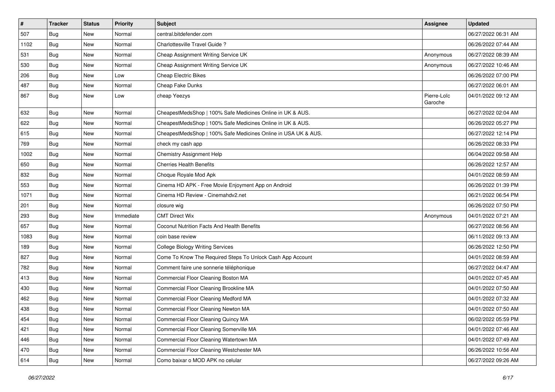| $\vert$ # | <b>Tracker</b> | <b>Status</b> | <b>Priority</b> | <b>Subject</b>                                                 | <b>Assignee</b>        | <b>Updated</b>      |
|-----------|----------------|---------------|-----------------|----------------------------------------------------------------|------------------------|---------------------|
| 507       | <b>Bug</b>     | New           | Normal          | central.bitdefender.com                                        |                        | 06/27/2022 06:31 AM |
| 1102      | Bug            | <b>New</b>    | Normal          | Charlottesville Travel Guide?                                  |                        | 06/26/2022 07:44 AM |
| 531       | Bug            | New           | Normal          | Cheap Assignment Writing Service UK                            | Anonymous              | 06/27/2022 08:39 AM |
| 530       | <b>Bug</b>     | New           | Normal          | Cheap Assignment Writing Service UK                            | Anonymous              | 06/27/2022 10:46 AM |
| 206       | Bug            | <b>New</b>    | Low             | Cheap Electric Bikes                                           |                        | 06/26/2022 07:00 PM |
| 487       | Bug            | New           | Normal          | Cheap Fake Dunks                                               |                        | 06/27/2022 06:01 AM |
| 867       | Bug            | New           | Low             | cheap Yeezys                                                   | Pierre-Loïc<br>Garoche | 04/01/2022 09:12 AM |
| 632       | Bug            | <b>New</b>    | Normal          | CheapestMedsShop   100% Safe Medicines Online in UK & AUS.     |                        | 06/27/2022 02:04 AM |
| 622       | Bug            | <b>New</b>    | Normal          | CheapestMedsShop   100% Safe Medicines Online in UK & AUS.     |                        | 06/26/2022 05:27 PM |
| 615       | Bug            | New           | Normal          | CheapestMedsShop   100% Safe Medicines Online in USA UK & AUS. |                        | 06/27/2022 12:14 PM |
| 769       | <b>Bug</b>     | New           | Normal          | check my cash app                                              |                        | 06/26/2022 08:33 PM |
| 1002      | Bug            | <b>New</b>    | Normal          | <b>Chemistry Assignment Help</b>                               |                        | 06/04/2022 09:58 AM |
| 650       | Bug            | New           | Normal          | <b>Cherries Health Benefits</b>                                |                        | 06/26/2022 12:57 AM |
| 832       | Bug            | <b>New</b>    | Normal          | Choque Royale Mod Apk                                          |                        | 04/01/2022 08:59 AM |
| 553       | Bug            | New           | Normal          | Cinema HD APK - Free Movie Enjoyment App on Android            |                        | 06/26/2022 01:39 PM |
| 1071      | Bug            | <b>New</b>    | Normal          | Cinema HD Review - Cinemahdv2.net                              |                        | 06/21/2022 06:54 PM |
| 201       | Bug            | <b>New</b>    | Normal          | closure wig                                                    |                        | 06/26/2022 07:50 PM |
| 293       | Bug            | New           | Immediate       | <b>CMT Direct Wix</b>                                          | Anonymous              | 04/01/2022 07:21 AM |
| 657       | Bug            | <b>New</b>    | Normal          | Coconut Nutrition Facts And Health Benefits                    |                        | 06/27/2022 08:56 AM |
| 1083      | Bug            | <b>New</b>    | Normal          | coin base review                                               |                        | 06/11/2022 09:13 AM |
| 189       | Bug            | <b>New</b>    | Normal          | <b>College Biology Writing Services</b>                        |                        | 06/26/2022 12:50 PM |
| 827       | Bug            | <b>New</b>    | Normal          | Come To Know The Required Steps To Unlock Cash App Account     |                        | 04/01/2022 08:59 AM |
| 782       | Bug            | New           | Normal          | Comment faire une sonnerie téléphonique                        |                        | 06/27/2022 04:47 AM |
| 413       | <b>Bug</b>     | New           | Normal          | Commercial Floor Cleaning Boston MA                            |                        | 04/01/2022 07:45 AM |
| 430       | Bug            | <b>New</b>    | Normal          | Commercial Floor Cleaning Brookline MA                         |                        | 04/01/2022 07:50 AM |
| 462       | <b>Bug</b>     | New           | Normal          | Commercial Floor Cleaning Medford MA                           |                        | 04/01/2022 07:32 AM |
| 438       | Bug            | New           | Normal          | Commercial Floor Cleaning Newton MA                            |                        | 04/01/2022 07:50 AM |
| 454       | <b>Bug</b>     | New           | Normal          | Commercial Floor Cleaning Quincy MA                            |                        | 06/02/2022 05:59 PM |
| 421       | <b>Bug</b>     | New           | Normal          | Commercial Floor Cleaning Somerville MA                        |                        | 04/01/2022 07:46 AM |
| 446       | <b>Bug</b>     | New           | Normal          | Commercial Floor Cleaning Watertown MA                         |                        | 04/01/2022 07:49 AM |
| 470       | <b>Bug</b>     | New           | Normal          | Commercial Floor Cleaning Westchester MA                       |                        | 06/26/2022 10:56 AM |
| 614       | <b>Bug</b>     | New           | Normal          | Como baixar o MOD APK no celular                               |                        | 06/27/2022 09:26 AM |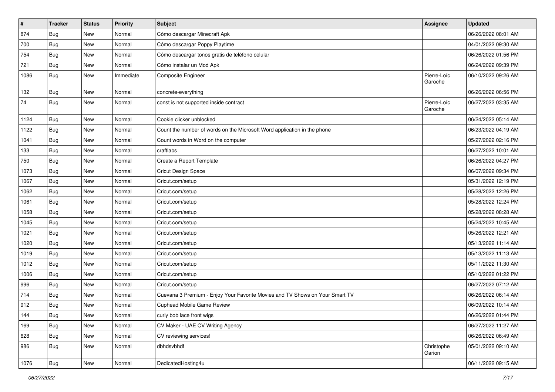| $\pmb{\#}$ | <b>Tracker</b> | <b>Status</b> | Priority  | <b>Subject</b>                                                               | <b>Assignee</b>        | <b>Updated</b>      |
|------------|----------------|---------------|-----------|------------------------------------------------------------------------------|------------------------|---------------------|
| 874        | Bug            | New           | Normal    | Cómo descargar Minecraft Apk                                                 |                        | 06/26/2022 08:01 AM |
| 700        | Bug            | New           | Normal    | Cómo descargar Poppy Playtime                                                |                        | 04/01/2022 09:30 AM |
| 754        | Bug            | New           | Normal    | Cómo descargar tonos gratis de teléfono celular                              |                        | 06/26/2022 01:56 PM |
| 721        | <b>Bug</b>     | New           | Normal    | Cómo instalar un Mod Apk                                                     |                        | 06/24/2022 09:39 PM |
| 1086       | Bug            | New           | Immediate | Composite Engineer                                                           | Pierre-Loïc<br>Garoche | 06/10/2022 09:26 AM |
| 132        | Bug            | New           | Normal    | concrete-everything                                                          |                        | 06/26/2022 06:56 PM |
| 74         | Bug            | New           | Normal    | const is not supported inside contract                                       | Pierre-Loïc<br>Garoche | 06/27/2022 03:35 AM |
| 1124       | Bug            | New           | Normal    | Cookie clicker unblocked                                                     |                        | 06/24/2022 05:14 AM |
| 1122       | Bug            | New           | Normal    | Count the number of words on the Microsoft Word application in the phone     |                        | 06/23/2022 04:19 AM |
| 1041       | Bug            | New           | Normal    | Count words in Word on the computer                                          |                        | 05/27/2022 02:16 PM |
| 133        | Bug            | New           | Normal    | craftlabs                                                                    |                        | 06/27/2022 10:01 AM |
| 750        | Bug            | New           | Normal    | Create a Report Template                                                     |                        | 06/26/2022 04:27 PM |
| 1073       | Bug            | New           | Normal    | Cricut Design Space                                                          |                        | 06/07/2022 09:34 PM |
| 1067       | Bug            | New           | Normal    | Cricut.com/setup                                                             |                        | 05/31/2022 12:19 PM |
| 1062       | <b>Bug</b>     | New           | Normal    | Cricut.com/setup                                                             |                        | 05/28/2022 12:26 PM |
| 1061       | Bug            | New           | Normal    | Cricut.com/setup                                                             |                        | 05/28/2022 12:24 PM |
| 1058       | Bug            | New           | Normal    | Cricut.com/setup                                                             |                        | 05/28/2022 08:28 AM |
| 1045       | Bug            | New           | Normal    | Cricut.com/setup                                                             |                        | 05/24/2022 10:45 AM |
| 1021       | Bug            | New           | Normal    | Cricut.com/setup                                                             |                        | 05/26/2022 12:21 AM |
| 1020       | <b>Bug</b>     | New           | Normal    | Cricut.com/setup                                                             |                        | 05/13/2022 11:14 AM |
| 1019       | Bug            | New           | Normal    | Cricut.com/setup                                                             |                        | 05/13/2022 11:13 AM |
| 1012       | Bug            | New           | Normal    | Cricut.com/setup                                                             |                        | 05/11/2022 11:30 AM |
| 1006       | Bug            | New           | Normal    | Cricut.com/setup                                                             |                        | 05/10/2022 01:22 PM |
| 996        | Bug            | New           | Normal    | Cricut.com/setup                                                             |                        | 06/27/2022 07:12 AM |
| 714        | Bug            | New           | Normal    | Cuevana 3 Premium - Enjoy Your Favorite Movies and TV Shows on Your Smart TV |                        | 06/26/2022 06:14 AM |
| 912        | Bug            | <b>New</b>    | Normal    | Cuphead Mobile Game Review                                                   |                        | 06/09/2022 10:14 AM |
| 144        | <b>Bug</b>     | New           | Normal    | curly bob lace front wigs                                                    |                        | 06/26/2022 01:44 PM |
| 169        | Bug            | New           | Normal    | CV Maker - UAE CV Writing Agency                                             |                        | 06/27/2022 11:27 AM |
| 628        | Bug            | New           | Normal    | CV reviewing services!                                                       |                        | 06/26/2022 06:49 AM |
| 986        | <b>Bug</b>     | New           | Normal    | dbhdsvbhdf                                                                   | Christophe<br>Garion   | 05/01/2022 09:10 AM |
| 1076       | <b>Bug</b>     | New           | Normal    | DedicatedHosting4u                                                           |                        | 06/11/2022 09:15 AM |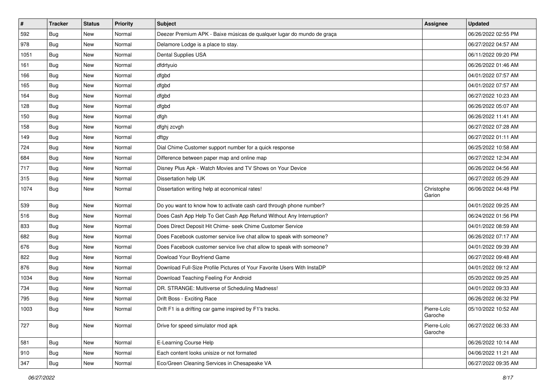| $\vert$ # | <b>Tracker</b> | <b>Status</b> | <b>Priority</b> | <b>Subject</b>                                                          | <b>Assignee</b>        | <b>Updated</b>      |
|-----------|----------------|---------------|-----------------|-------------------------------------------------------------------------|------------------------|---------------------|
| 592       | <b>Bug</b>     | New           | Normal          | Deezer Premium APK - Baixe músicas de qualquer lugar do mundo de graça  |                        | 06/26/2022 02:55 PM |
| 978       | <b>Bug</b>     | New           | Normal          | Delamore Lodge is a place to stay.                                      |                        | 06/27/2022 04:57 AM |
| 1051      | Bug            | New           | Normal          | Dental Supplies USA                                                     |                        | 06/11/2022 09:20 PM |
| 161       | <b>Bug</b>     | New           | Normal          | dfdrtyuio                                                               |                        | 06/26/2022 01:46 AM |
| 166       | Bug            | New           | Normal          | dfgbd                                                                   |                        | 04/01/2022 07:57 AM |
| 165       | <b>Bug</b>     | New           | Normal          | dfgbd                                                                   |                        | 04/01/2022 07:57 AM |
| 164       | Bug            | New           | Normal          | dfgbd                                                                   |                        | 06/27/2022 10:23 AM |
| 128       | Bug            | New           | Normal          | dfgbd                                                                   |                        | 06/26/2022 05:07 AM |
| 150       | <b>Bug</b>     | New           | Normal          | dfgh                                                                    |                        | 06/26/2022 11:41 AM |
| 158       | Bug            | <b>New</b>    | Normal          | dfghj zcvgh                                                             |                        | 06/27/2022 07:28 AM |
| 149       | Bug            | New           | Normal          | dftgy                                                                   |                        | 06/27/2022 01:11 AM |
| 724       | Bug            | New           | Normal          | Dial Chime Customer support number for a quick response                 |                        | 06/25/2022 10:58 AM |
| 684       | Bug            | New           | Normal          | Difference between paper map and online map                             |                        | 06/27/2022 12:34 AM |
| 717       | Bug            | New           | Normal          | Disney Plus Apk - Watch Movies and TV Shows on Your Device              |                        | 06/26/2022 04:56 AM |
| 315       | Bug            | New           | Normal          | Dissertation help UK                                                    |                        | 06/27/2022 05:29 AM |
| 1074      | Bug            | New           | Normal          | Dissertation writing help at economical rates!                          | Christophe<br>Garion   | 06/06/2022 04:48 PM |
| 539       | Bug            | New           | Normal          | Do you want to know how to activate cash card through phone number?     |                        | 04/01/2022 09:25 AM |
| 516       | <b>Bug</b>     | New           | Normal          | Does Cash App Help To Get Cash App Refund Without Any Interruption?     |                        | 06/24/2022 01:56 PM |
| 833       | Bug            | New           | Normal          | Does Direct Deposit Hit Chime- seek Chime Customer Service              |                        | 04/01/2022 08:59 AM |
| 682       | Bug            | New           | Normal          | Does Facebook customer service live chat allow to speak with someone?   |                        | 06/26/2022 07:17 AM |
| 676       | Bug            | <b>New</b>    | Normal          | Does Facebook customer service live chat allow to speak with someone?   |                        | 04/01/2022 09:39 AM |
| 822       | Bug            | New           | Normal          | Dowload Your Boyfriend Game                                             |                        | 06/27/2022 09:48 AM |
| 876       | <b>Bug</b>     | New           | Normal          | Download Full-Size Profile Pictures of Your Favorite Users With InstaDP |                        | 04/01/2022 09:12 AM |
| 1034      | Bug            | New           | Normal          | Download Teaching Feeling For Android                                   |                        | 05/20/2022 09:25 AM |
| 734       | Bug            | New           | Normal          | DR. STRANGE: Multiverse of Scheduling Madness!                          |                        | 04/01/2022 09:33 AM |
| 795       | <b>Bug</b>     | New           | Normal          | Drift Boss - Exciting Race                                              |                        | 06/26/2022 06:32 PM |
| 1003      | <b>Bug</b>     | New           | Normal          | Drift F1 is a drifting car game inspired by F1's tracks.                | Pierre-Loïc<br>Garoche | 05/10/2022 10:52 AM |
| 727       | Bug            | New           | Normal          | Drive for speed simulator mod apk                                       | Pierre-Loïc<br>Garoche | 06/27/2022 06:33 AM |
| 581       | Bug            | New           | Normal          | E-Learning Course Help                                                  |                        | 06/26/2022 10:14 AM |
| 910       | Bug            | New           | Normal          | Each content looks unisize or not formated                              |                        | 04/06/2022 11:21 AM |
| 347       | Bug            | New           | Normal          | Eco/Green Cleaning Services in Chesapeake VA                            |                        | 06/27/2022 09:35 AM |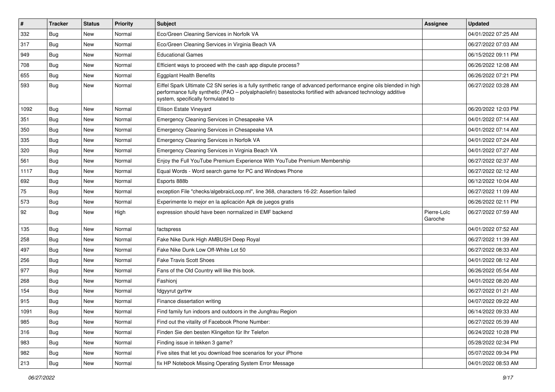| $\vert$ # | <b>Tracker</b> | <b>Status</b> | <b>Priority</b> | Subject                                                                                                                                                                                                                                                               | <b>Assignee</b>        | <b>Updated</b>      |
|-----------|----------------|---------------|-----------------|-----------------------------------------------------------------------------------------------------------------------------------------------------------------------------------------------------------------------------------------------------------------------|------------------------|---------------------|
| 332       | Bug            | New           | Normal          | Eco/Green Cleaning Services in Norfolk VA                                                                                                                                                                                                                             |                        | 04/01/2022 07:25 AM |
| 317       | Bug            | <b>New</b>    | Normal          | Eco/Green Cleaning Services in Virginia Beach VA                                                                                                                                                                                                                      |                        | 06/27/2022 07:03 AM |
| 949       | <b>Bug</b>     | New           | Normal          | <b>Educational Games</b>                                                                                                                                                                                                                                              |                        | 06/15/2022 09:11 PM |
| 708       | Bug            | New           | Normal          | Efficient ways to proceed with the cash app dispute process?                                                                                                                                                                                                          |                        | 06/26/2022 12:08 AM |
| 655       | Bug            | <b>New</b>    | Normal          | <b>Eggplant Health Benefits</b>                                                                                                                                                                                                                                       |                        | 06/26/2022 07:21 PM |
| 593       | Bug            | New           | Normal          | Eiffel Spark Ultimate C2 SN series is a fully synthetic range of advanced performance engine oils blended in high<br>performance fully synthetic (PAO - polyalphaolefin) basestocks fortified with advanced technology additive<br>system, specifically formulated to |                        | 06/27/2022 03:28 AM |
| 1092      | Bug            | <b>New</b>    | Normal          | Ellison Estate Vineyard                                                                                                                                                                                                                                               |                        | 06/20/2022 12:03 PM |
| 351       | Bug            | <b>New</b>    | Normal          | Emergency Cleaning Services in Chesapeake VA                                                                                                                                                                                                                          |                        | 04/01/2022 07:14 AM |
| 350       | Bug            | New           | Normal          | Emergency Cleaning Services in Chesapeake VA                                                                                                                                                                                                                          |                        | 04/01/2022 07:14 AM |
| 335       | Bug            | New           | Normal          | Emergency Cleaning Services in Norfolk VA                                                                                                                                                                                                                             |                        | 04/01/2022 07:24 AM |
| 320       | Bug            | New           | Normal          | Emergency Cleaning Services in Virginia Beach VA                                                                                                                                                                                                                      |                        | 04/01/2022 07:27 AM |
| 561       | <b>Bug</b>     | New           | Normal          | Enjoy the Full YouTube Premium Experience With YouTube Premium Membership                                                                                                                                                                                             |                        | 06/27/2022 02:37 AM |
| 1117      | Bug            | New           | Normal          | Equal Words - Word search game for PC and Windows Phone                                                                                                                                                                                                               |                        | 06/27/2022 02:12 AM |
| 692       | Bug            | New           | Normal          | Esports 888b                                                                                                                                                                                                                                                          |                        | 06/12/2022 10:04 AM |
| 75        | Bug            | <b>New</b>    | Normal          | exception File "checks/algebraicLoop.ml", line 368, characters 16-22: Assertion failed                                                                                                                                                                                |                        | 06/27/2022 11:09 AM |
| 573       | Bug            | <b>New</b>    | Normal          | Experimente lo mejor en la aplicación Apk de juegos gratis                                                                                                                                                                                                            |                        | 06/26/2022 02:11 PM |
| 92        | <b>Bug</b>     | New           | High            | expression should have been normalized in EMF backend                                                                                                                                                                                                                 | Pierre-Loïc<br>Garoche | 06/27/2022 07:59 AM |
| 135       | Bug            | <b>New</b>    | Normal          | factspress                                                                                                                                                                                                                                                            |                        | 04/01/2022 07:52 AM |
| 258       | Bug            | New           | Normal          | Fake Nike Dunk High AMBUSH Deep Royal                                                                                                                                                                                                                                 |                        | 06/27/2022 11:39 AM |
| 497       | <b>Bug</b>     | New           | Normal          | Fake Nike Dunk Low Off-White Lot 50                                                                                                                                                                                                                                   |                        | 06/27/2022 08:33 AM |
| 256       | Bug            | New           | Normal          | <b>Fake Travis Scott Shoes</b>                                                                                                                                                                                                                                        |                        | 04/01/2022 08:12 AM |
| 977       | <b>Bug</b>     | New           | Normal          | Fans of the Old Country will like this book.                                                                                                                                                                                                                          |                        | 06/26/2022 05:54 AM |
| 268       | Bug            | New           | Normal          | Fashionj                                                                                                                                                                                                                                                              |                        | 04/01/2022 08:20 AM |
| 154       | Bug            | New           | Normal          | fdgyyrut gyrtrw                                                                                                                                                                                                                                                       |                        | 06/27/2022 01:21 AM |
| 915       | Bug            | New           | Normal          | Finance dissertation writing                                                                                                                                                                                                                                          |                        | 04/07/2022 09:22 AM |
| 1091      | Bug            | New           | Normal          | Find family fun indoors and outdoors in the Jungfrau Region                                                                                                                                                                                                           |                        | 06/14/2022 09:33 AM |
| 985       | Bug            | New           | Normal          | Find out the vitality of Facebook Phone Number:                                                                                                                                                                                                                       |                        | 06/27/2022 05:39 AM |
| 316       | Bug            | New           | Normal          | Finden Sie den besten Klingelton für Ihr Telefon                                                                                                                                                                                                                      |                        | 06/24/2022 10:28 PM |
| 983       | <b>Bug</b>     | New           | Normal          | Finding issue in tekken 3 game?                                                                                                                                                                                                                                       |                        | 05/28/2022 02:34 PM |
| 982       | Bug            | New           | Normal          | Five sites that let you download free scenarios for your iPhone                                                                                                                                                                                                       |                        | 05/07/2022 09:34 PM |
| 213       | <b>Bug</b>     | New           | Normal          | fix HP Notebook Missing Operating System Error Message                                                                                                                                                                                                                |                        | 04/01/2022 08:53 AM |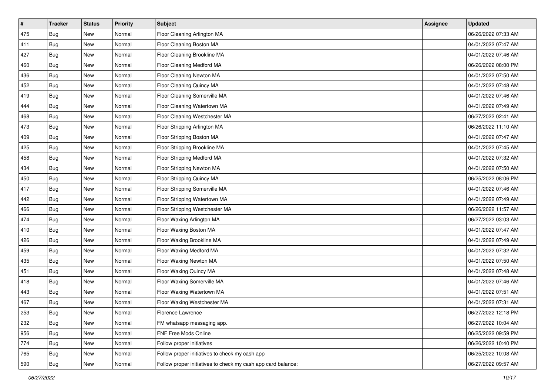| $\vert$ # | <b>Tracker</b> | <b>Status</b> | Priority | <b>Subject</b>                                               | <b>Assignee</b> | <b>Updated</b>      |
|-----------|----------------|---------------|----------|--------------------------------------------------------------|-----------------|---------------------|
| 475       | <b>Bug</b>     | New           | Normal   | Floor Cleaning Arlington MA                                  |                 | 06/26/2022 07:33 AM |
| 411       | Bug            | New           | Normal   | Floor Cleaning Boston MA                                     |                 | 04/01/2022 07:47 AM |
| 427       | Bug            | New           | Normal   | Floor Cleaning Brookline MA                                  |                 | 04/01/2022 07:46 AM |
| 460       | <b>Bug</b>     | New           | Normal   | Floor Cleaning Medford MA                                    |                 | 06/26/2022 08:00 PM |
| 436       | Bug            | New           | Normal   | Floor Cleaning Newton MA                                     |                 | 04/01/2022 07:50 AM |
| 452       | <b>Bug</b>     | New           | Normal   | Floor Cleaning Quincy MA                                     |                 | 04/01/2022 07:48 AM |
| 419       | <b>Bug</b>     | New           | Normal   | Floor Cleaning Somerville MA                                 |                 | 04/01/2022 07:46 AM |
| 444       | <b>Bug</b>     | New           | Normal   | Floor Cleaning Watertown MA                                  |                 | 04/01/2022 07:49 AM |
| 468       | <b>Bug</b>     | New           | Normal   | Floor Cleaning Westchester MA                                |                 | 06/27/2022 02:41 AM |
| 473       | Bug            | New           | Normal   | Floor Stripping Arlington MA                                 |                 | 06/26/2022 11:10 AM |
| 409       | Bug            | New           | Normal   | Floor Stripping Boston MA                                    |                 | 04/01/2022 07:47 AM |
| 425       | Bug            | New           | Normal   | Floor Stripping Brookline MA                                 |                 | 04/01/2022 07:45 AM |
| 458       | <b>Bug</b>     | New           | Normal   | Floor Stripping Medford MA                                   |                 | 04/01/2022 07:32 AM |
| 434       | <b>Bug</b>     | New           | Normal   | Floor Stripping Newton MA                                    |                 | 04/01/2022 07:50 AM |
| 450       | <b>Bug</b>     | New           | Normal   | Floor Stripping Quincy MA                                    |                 | 06/25/2022 08:06 PM |
| 417       | <b>Bug</b>     | New           | Normal   | Floor Stripping Somerville MA                                |                 | 04/01/2022 07:46 AM |
| 442       | <b>Bug</b>     | New           | Normal   | Floor Stripping Watertown MA                                 |                 | 04/01/2022 07:49 AM |
| 466       | Bug            | New           | Normal   | Floor Stripping Westchester MA                               |                 | 06/26/2022 11:57 AM |
| 474       | Bug            | New           | Normal   | Floor Waxing Arlington MA                                    |                 | 06/27/2022 03:03 AM |
| 410       | <b>Bug</b>     | New           | Normal   | Floor Waxing Boston MA                                       |                 | 04/01/2022 07:47 AM |
| 426       | <b>Bug</b>     | New           | Normal   | Floor Waxing Brookline MA                                    |                 | 04/01/2022 07:49 AM |
| 459       | <b>Bug</b>     | New           | Normal   | Floor Waxing Medford MA                                      |                 | 04/01/2022 07:32 AM |
| 435       | Bug            | <b>New</b>    | Normal   | Floor Waxing Newton MA                                       |                 | 04/01/2022 07:50 AM |
| 451       | <b>Bug</b>     | New           | Normal   | Floor Waxing Quincy MA                                       |                 | 04/01/2022 07:48 AM |
| 418       | Bug            | New           | Normal   | Floor Waxing Somerville MA                                   |                 | 04/01/2022 07:46 AM |
| 443       | <b>Bug</b>     | <b>New</b>    | Normal   | Floor Waxing Watertown MA                                    |                 | 04/01/2022 07:51 AM |
| 467       | <b>Bug</b>     | New           | Normal   | Floor Waxing Westchester MA                                  |                 | 04/01/2022 07:31 AM |
| 253       | i Bug          | New           | Normal   | Florence Lawrence                                            |                 | 06/27/2022 12:18 PM |
| 232       | Bug            | New           | Normal   | FM whatsapp messaging app.                                   |                 | 06/27/2022 10:04 AM |
| 956       | Bug            | New           | Normal   | FNF Free Mods Online                                         |                 | 06/25/2022 09:59 PM |
| 774       | Bug            | New           | Normal   | Follow proper initiatives                                    |                 | 06/26/2022 10:40 PM |
| 765       | <b>Bug</b>     | New           | Normal   | Follow proper initiatives to check my cash app               |                 | 06/25/2022 10:08 AM |
| 590       | <b>Bug</b>     | New           | Normal   | Follow proper initiatives to check my cash app card balance: |                 | 06/27/2022 09:57 AM |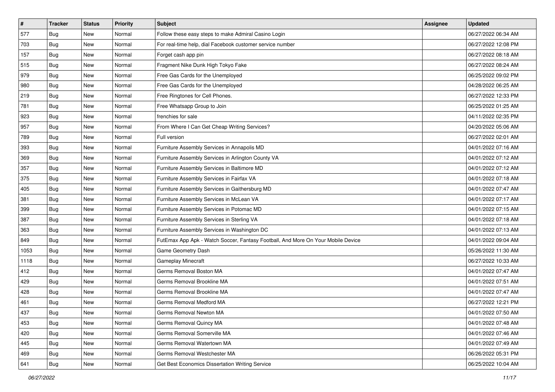| $\vert$ # | <b>Tracker</b> | <b>Status</b> | <b>Priority</b> | <b>Subject</b>                                                                   | <b>Assignee</b> | <b>Updated</b>      |
|-----------|----------------|---------------|-----------------|----------------------------------------------------------------------------------|-----------------|---------------------|
| 577       | <b>Bug</b>     | New           | Normal          | Follow these easy steps to make Admiral Casino Login                             |                 | 06/27/2022 06:34 AM |
| 703       | <b>Bug</b>     | <b>New</b>    | Normal          | For real-time help, dial Facebook customer service number                        |                 | 06/27/2022 12:08 PM |
| 157       | Bug            | New           | Normal          | Forget cash app pin                                                              |                 | 06/27/2022 08:18 AM |
| 515       | Bug            | New           | Normal          | Fragment Nike Dunk High Tokyo Fake                                               |                 | 06/27/2022 08:24 AM |
| 979       | Bug            | New           | Normal          | Free Gas Cards for the Unemployed                                                |                 | 06/25/2022 09:02 PM |
| 980       | Bug            | New           | Normal          | Free Gas Cards for the Unemployed                                                |                 | 04/28/2022 06:25 AM |
| 219       | Bug            | New           | Normal          | Free Ringtones for Cell Phones.                                                  |                 | 06/27/2022 12:33 PM |
| 781       | <b>Bug</b>     | New           | Normal          | Free Whatsapp Group to Join                                                      |                 | 06/25/2022 01:25 AM |
| 923       | <b>Bug</b>     | New           | Normal          | frenchies for sale                                                               |                 | 04/11/2022 02:35 PM |
| 957       | Bug            | <b>New</b>    | Normal          | From Where I Can Get Cheap Writing Services?                                     |                 | 04/20/2022 05:06 AM |
| 789       | <b>Bug</b>     | New           | Normal          | Full version                                                                     |                 | 06/27/2022 02:01 AM |
| 393       | Bug            | New           | Normal          | Furniture Assembly Services in Annapolis MD                                      |                 | 04/01/2022 07:16 AM |
| 369       | <b>Bug</b>     | New           | Normal          | Furniture Assembly Services in Arlington County VA                               |                 | 04/01/2022 07:12 AM |
| 357       | <b>Bug</b>     | New           | Normal          | Furniture Assembly Services in Baltimore MD                                      |                 | 04/01/2022 07:12 AM |
| 375       | <b>Bug</b>     | New           | Normal          | Furniture Assembly Services in Fairfax VA                                        |                 | 04/01/2022 07:18 AM |
| 405       | <b>Bug</b>     | New           | Normal          | Furniture Assembly Services in Gaithersburg MD                                   |                 | 04/01/2022 07:47 AM |
| 381       | Bug            | New           | Normal          | Furniture Assembly Services in McLean VA                                         |                 | 04/01/2022 07:17 AM |
| 399       | <b>Bug</b>     | New           | Normal          | Furniture Assembly Services in Potomac MD                                        |                 | 04/01/2022 07:15 AM |
| 387       | <b>Bug</b>     | New           | Normal          | Furniture Assembly Services in Sterling VA                                       |                 | 04/01/2022 07:18 AM |
| 363       | <b>Bug</b>     | New           | Normal          | Furniture Assembly Services in Washington DC                                     |                 | 04/01/2022 07:13 AM |
| 849       | <b>Bug</b>     | New           | Normal          | FutEmax App Apk - Watch Soccer, Fantasy Football, And More On Your Mobile Device |                 | 04/01/2022 09:04 AM |
| 1053      | <b>Bug</b>     | New           | Normal          | Game Geometry Dash                                                               |                 | 05/26/2022 11:30 AM |
| 1118      | Bug            | New           | Normal          | Gameplay Minecraft                                                               |                 | 06/27/2022 10:33 AM |
| 412       | <b>Bug</b>     | New           | Normal          | Germs Removal Boston MA                                                          |                 | 04/01/2022 07:47 AM |
| 429       | <b>Bug</b>     | New           | Normal          | Germs Removal Brookline MA                                                       |                 | 04/01/2022 07:51 AM |
| 428       | Bug            | New           | Normal          | Germs Removal Brookline MA                                                       |                 | 04/01/2022 07:47 AM |
| 461       | <b>Bug</b>     | New           | Normal          | Germs Removal Medford MA                                                         |                 | 06/27/2022 12:21 PM |
| 437       | <b>Bug</b>     | New           | Normal          | Germs Removal Newton MA                                                          |                 | 04/01/2022 07:50 AM |
| 453       | Bug            | New           | Normal          | Germs Removal Quincy MA                                                          |                 | 04/01/2022 07:48 AM |
| 420       | Bug            | New           | Normal          | Germs Removal Somerville MA                                                      |                 | 04/01/2022 07:46 AM |
| 445       | <b>Bug</b>     | New           | Normal          | Germs Removal Watertown MA                                                       |                 | 04/01/2022 07:49 AM |
| 469       | Bug            | New           | Normal          | Germs Removal Westchester MA                                                     |                 | 06/26/2022 05:31 PM |
| 641       | Bug            | New           | Normal          | Get Best Economics Dissertation Writing Service                                  |                 | 06/25/2022 10:04 AM |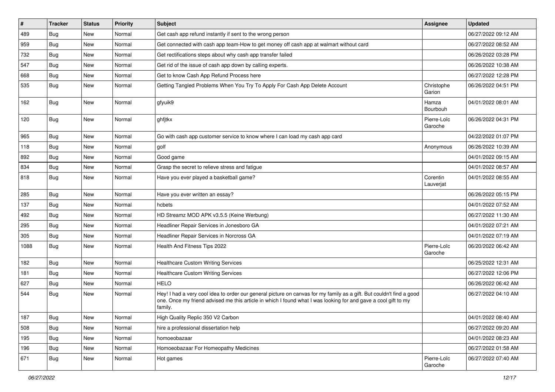| $\vert$ # | <b>Tracker</b> | <b>Status</b> | <b>Priority</b> | <b>Subject</b>                                                                                                                                                                                                                                    | <b>Assignee</b>        | <b>Updated</b>      |
|-----------|----------------|---------------|-----------------|---------------------------------------------------------------------------------------------------------------------------------------------------------------------------------------------------------------------------------------------------|------------------------|---------------------|
| 489       | <b>Bug</b>     | New           | Normal          | Get cash app refund instantly if sent to the wrong person                                                                                                                                                                                         |                        | 06/27/2022 09:12 AM |
| 959       | Bug            | <b>New</b>    | Normal          | Get connected with cash app team-How to get money off cash app at walmart without card                                                                                                                                                            |                        | 06/27/2022 08:52 AM |
| 732       | Bug            | New           | Normal          | Get rectifications steps about why cash app transfer failed                                                                                                                                                                                       |                        | 06/26/2022 03:28 PM |
| 547       | Bug            | New           | Normal          | Get rid of the issue of cash app down by calling experts.                                                                                                                                                                                         |                        | 06/26/2022 10:38 AM |
| 668       | Bug            | <b>New</b>    | Normal          | Get to know Cash App Refund Process here                                                                                                                                                                                                          |                        | 06/27/2022 12:28 PM |
| 535       | Bug            | New           | Normal          | Getting Tangled Problems When You Try To Apply For Cash App Delete Account                                                                                                                                                                        | Christophe<br>Garion   | 06/26/2022 04:51 PM |
| 162       | Bug            | New           | Normal          | gfyuik9                                                                                                                                                                                                                                           | Hamza<br>Bourbouh      | 04/01/2022 08:01 AM |
| 120       | Bug            | <b>New</b>    | Normal          | ghfjtkx                                                                                                                                                                                                                                           | Pierre-Loïc<br>Garoche | 06/26/2022 04:31 PM |
| 965       | Bug            | <b>New</b>    | Normal          | Go with cash app customer service to know where I can load my cash app card                                                                                                                                                                       |                        | 04/22/2022 01:07 PM |
| 118       | Bug            | <b>New</b>    | Normal          | golf                                                                                                                                                                                                                                              | Anonymous              | 06/26/2022 10:39 AM |
| 892       | <b>Bug</b>     | <b>New</b>    | Normal          | Good game                                                                                                                                                                                                                                         |                        | 04/01/2022 09:15 AM |
| 834       | Bug            | <b>New</b>    | Normal          | Grasp the secret to relieve stress and fatigue                                                                                                                                                                                                    |                        | 04/01/2022 08:57 AM |
| 818       | Bug            | <b>New</b>    | Normal          | Have you ever played a basketball game?                                                                                                                                                                                                           | Corentin<br>Lauverjat  | 04/01/2022 08:55 AM |
| 285       | Bug            | <b>New</b>    | Normal          | Have you ever written an essay?                                                                                                                                                                                                                   |                        | 06/26/2022 05:15 PM |
| 137       | Bug            | New           | Normal          | hcbets                                                                                                                                                                                                                                            |                        | 04/01/2022 07:52 AM |
| 492       | <b>Bug</b>     | New           | Normal          | HD Streamz MOD APK v3.5.5 (Keine Werbung)                                                                                                                                                                                                         |                        | 06/27/2022 11:30 AM |
| 295       | Bug            | <b>New</b>    | Normal          | Headliner Repair Services in Jonesboro GA                                                                                                                                                                                                         |                        | 04/01/2022 07:21 AM |
| 305       | <b>Bug</b>     | New           | Normal          | Headliner Repair Services in Norcross GA                                                                                                                                                                                                          |                        | 04/01/2022 07:19 AM |
| 1088      | Bug            | New           | Normal          | Health And Fitness Tips 2022                                                                                                                                                                                                                      | Pierre-Loïc<br>Garoche | 06/20/2022 06:42 AM |
| 182       | Bug            | New           | Normal          | Healthcare Custom Writing Services                                                                                                                                                                                                                |                        | 06/25/2022 12:31 AM |
| 181       | Bug            | <b>New</b>    | Normal          | <b>Healthcare Custom Writing Services</b>                                                                                                                                                                                                         |                        | 06/27/2022 12:06 PM |
| 627       | Bug            | New           | Normal          | <b>HELO</b>                                                                                                                                                                                                                                       |                        | 06/26/2022 06:42 AM |
| 544       | Bug            | New           | Normal          | Hey! I had a very cool idea to order our general picture on canvas for my family as a gift. But couldn't find a good<br>one. Once my friend advised me this article in which I found what I was looking for and gave a cool gift to my<br>family. |                        | 06/27/2022 04:10 AM |
| 187       | Bug            | New           | Normal          | High Quality Replic 350 V2 Carbon                                                                                                                                                                                                                 |                        | 04/01/2022 08:40 AM |
| 508       | Bug            | New           | Normal          | hire a professional dissertation help                                                                                                                                                                                                             |                        | 06/27/2022 09:20 AM |
| 195       | Bug            | New           | Normal          | homoeobazaar                                                                                                                                                                                                                                      |                        | 04/01/2022 08:23 AM |
| 196       | Bug            | New           | Normal          | Homoeobazaar For Homeopathy Medicines                                                                                                                                                                                                             |                        | 06/27/2022 01:58 AM |
| 671       | <b>Bug</b>     | New           | Normal          | Hot games                                                                                                                                                                                                                                         | Pierre-Loïc<br>Garoche | 06/27/2022 07:40 AM |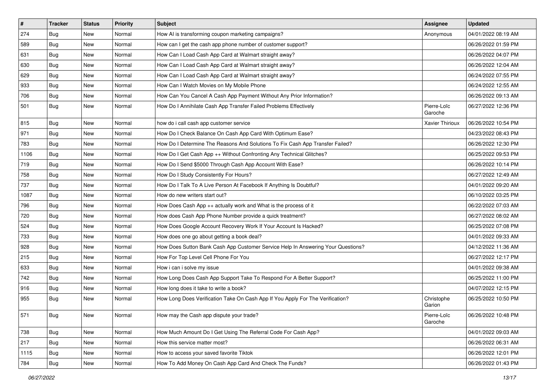| $\sharp$ | <b>Tracker</b> | <b>Status</b> | <b>Priority</b> | <b>Subject</b>                                                                   | <b>Assignee</b>        | <b>Updated</b>      |
|----------|----------------|---------------|-----------------|----------------------------------------------------------------------------------|------------------------|---------------------|
| 274      | <b>Bug</b>     | New           | Normal          | How AI is transforming coupon marketing campaigns?                               | Anonymous              | 04/01/2022 08:19 AM |
| 589      | Bug            | New           | Normal          | How can I get the cash app phone number of customer support?                     |                        | 06/26/2022 01:59 PM |
| 631      | Bug            | New           | Normal          | How Can I Load Cash App Card at Walmart straight away?                           |                        | 06/26/2022 04:07 PM |
| 630      | <b>Bug</b>     | New           | Normal          | How Can I Load Cash App Card at Walmart straight away?                           |                        | 06/26/2022 12:04 AM |
| 629      | Bug            | New           | Normal          | How Can I Load Cash App Card at Walmart straight away?                           |                        | 06/24/2022 07:55 PM |
| 933      | <b>Bug</b>     | New           | Normal          | How Can I Watch Movies on My Mobile Phone                                        |                        | 06/24/2022 12:55 AM |
| 706      | Bug            | New           | Normal          | How Can You Cancel A Cash App Payment Without Any Prior Information?             |                        | 06/26/2022 09:13 AM |
| 501      | Bug            | New           | Normal          | How Do I Annihilate Cash App Transfer Failed Problems Effectively                | Pierre-Loïc<br>Garoche | 06/27/2022 12:36 PM |
| 815      | <b>Bug</b>     | <b>New</b>    | Normal          | how do i call cash app customer service                                          | <b>Xavier Thirioux</b> | 06/26/2022 10:54 PM |
| 971      | Bug            | New           | Normal          | How Do I Check Balance On Cash App Card With Optimum Ease?                       |                        | 04/23/2022 08:43 PM |
| 783      | <b>Bug</b>     | New           | Normal          | How Do I Determine The Reasons And Solutions To Fix Cash App Transfer Failed?    |                        | 06/26/2022 12:30 PM |
| 1106     | Bug            | New           | Normal          | How Do I Get Cash App ++ Without Confronting Any Technical Glitches?             |                        | 06/25/2022 09:53 PM |
| 719      | <b>Bug</b>     | New           | Normal          | How Do I Send \$5000 Through Cash App Account With Ease?                         |                        | 06/26/2022 10:14 PM |
| 758      | <b>Bug</b>     | New           | Normal          | How Do I Study Consistently For Hours?                                           |                        | 06/27/2022 12:49 AM |
| 737      | Bug            | New           | Normal          | How Do I Talk To A Live Person At Facebook If Anything Is Doubtful?              |                        | 04/01/2022 09:20 AM |
| 1087     | <b>Bug</b>     | New           | Normal          | How do new writers start out?                                                    |                        | 06/10/2022 03:25 PM |
| 796      | Bug            | New           | Normal          | How Does Cash App ++ actually work and What is the process of it                 |                        | 06/22/2022 07:03 AM |
| 720      | Bug            | New           | Normal          | How does Cash App Phone Number provide a quick treatment?                        |                        | 06/27/2022 08:02 AM |
| 524      | Bug            | New           | Normal          | How Does Google Account Recovery Work If Your Account Is Hacked?                 |                        | 06/25/2022 07:08 PM |
| 733      | Bug            | <b>New</b>    | Normal          | How does one go about getting a book deal?                                       |                        | 04/01/2022 09:33 AM |
| 928      | Bug            | New           | Normal          | How Does Sutton Bank Cash App Customer Service Help In Answering Your Questions? |                        | 04/12/2022 11:36 AM |
| 215      | Bug            | New           | Normal          | How For Top Level Cell Phone For You                                             |                        | 06/27/2022 12:17 PM |
| 633      | Bug            | New           | Normal          | How i can i solve my issue                                                       |                        | 04/01/2022 09:38 AM |
| 742      | <b>Bug</b>     | New           | Normal          | How Long Does Cash App Support Take To Respond For A Better Support?             |                        | 06/25/2022 11:00 PM |
| 916      | <b>Bug</b>     | New           | Normal          | How long does it take to write a book?                                           |                        | 04/07/2022 12:15 PM |
| 955      | Bug            | New           | Normal          | How Long Does Verification Take On Cash App If You Apply For The Verification?   | Christophe<br>Garion   | 06/25/2022 10:50 PM |
| 571      | Bug            | New           | Normal          | How may the Cash app dispute your trade?                                         | Pierre-Loïc<br>Garoche | 06/26/2022 10:48 PM |
| 738      | Bug            | New           | Normal          | How Much Amount Do I Get Using The Referral Code For Cash App?                   |                        | 04/01/2022 09:03 AM |
| 217      | Bug            | New           | Normal          | How this service matter most?                                                    |                        | 06/26/2022 06:31 AM |
| 1115     | Bug            | New           | Normal          | How to access your saved favorite Tiktok                                         |                        | 06/26/2022 12:01 PM |
| 784      | Bug            | New           | Normal          | How To Add Money On Cash App Card And Check The Funds?                           |                        | 06/26/2022 01:43 PM |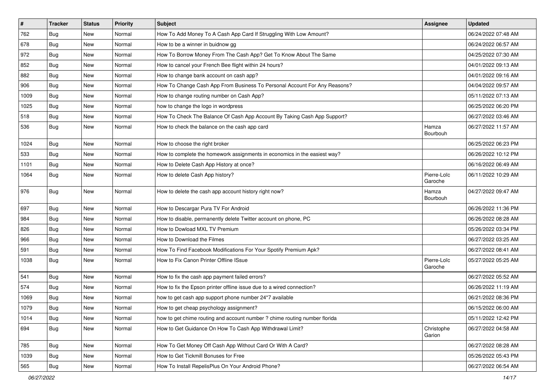| $\vert$ # | <b>Tracker</b> | <b>Status</b> | <b>Priority</b> | Subject                                                                    | <b>Assignee</b>        | <b>Updated</b>      |
|-----------|----------------|---------------|-----------------|----------------------------------------------------------------------------|------------------------|---------------------|
| 762       | Bug            | New           | Normal          | How To Add Money To A Cash App Card If Struggling With Low Amount?         |                        | 06/24/2022 07:48 AM |
| 678       | Bug            | <b>New</b>    | Normal          | How to be a winner in buidnow gg                                           |                        | 06/24/2022 06:57 AM |
| 972       | Bug            | <b>New</b>    | Normal          | How To Borrow Money From The Cash App? Get To Know About The Same          |                        | 04/25/2022 07:30 AM |
| 852       | <b>Bug</b>     | <b>New</b>    | Normal          | How to cancel your French Bee flight within 24 hours?                      |                        | 04/01/2022 09:13 AM |
| 882       | Bug            | <b>New</b>    | Normal          | How to change bank account on cash app?                                    |                        | 04/01/2022 09:16 AM |
| 906       | Bug            | <b>New</b>    | Normal          | How To Change Cash App From Business To Personal Account For Any Reasons?  |                        | 04/04/2022 09:57 AM |
| 1009      | Bug            | <b>New</b>    | Normal          | How to change routing number on Cash App?                                  |                        | 05/11/2022 07:13 AM |
| 1025      | Bug            | <b>New</b>    | Normal          | how to change the logo in wordpress                                        |                        | 06/25/2022 06:20 PM |
| 518       | <b>Bug</b>     | <b>New</b>    | Normal          | How To Check The Balance Of Cash App Account By Taking Cash App Support?   |                        | 06/27/2022 03:46 AM |
| 536       | Bug            | <b>New</b>    | Normal          | How to check the balance on the cash app card                              | Hamza<br>Bourbouh      | 06/27/2022 11:57 AM |
| 1024      | Bug            | New           | Normal          | How to choose the right broker                                             |                        | 06/25/2022 06:23 PM |
| 533       | Bug            | <b>New</b>    | Normal          | How to complete the homework assignments in economics in the easiest way?  |                        | 06/26/2022 10:12 PM |
| 1101      | Bug            | <b>New</b>    | Normal          | How to Delete Cash App History at once?                                    |                        | 06/16/2022 06:49 AM |
| 1064      | Bug            | <b>New</b>    | Normal          | How to delete Cash App history?                                            | Pierre-Loïc<br>Garoche | 06/11/2022 10:29 AM |
| 976       | Bug            | New           | Normal          | How to delete the cash app account history right now?                      | Hamza<br>Bourbouh      | 04/27/2022 09:47 AM |
| 697       | Bug            | New           | Normal          | How to Descargar Pura TV For Android                                       |                        | 06/26/2022 11:36 PM |
| 984       | <b>Bug</b>     | <b>New</b>    | Normal          | How to disable, permanently delete Twitter account on phone, PC            |                        | 06/26/2022 08:28 AM |
| 826       | Bug            | <b>New</b>    | Normal          | How to Dowload MXL TV Premium                                              |                        | 05/26/2022 03:34 PM |
| 966       | Bug            | <b>New</b>    | Normal          | How to Download the Filmes                                                 |                        | 06/27/2022 03:25 AM |
| 591       | Bug            | <b>New</b>    | Normal          | How To Find Facebook Modifications For Your Spotify Premium Apk?           |                        | 06/27/2022 08:41 AM |
| 1038      | Bug            | <b>New</b>    | Normal          | How to Fix Canon Printer Offline ISsue                                     | Pierre-Loïc<br>Garoche | 05/27/2022 05:25 AM |
| 541       | Bug            | <b>New</b>    | Normal          | How to fix the cash app payment failed errors?                             |                        | 06/27/2022 05:52 AM |
| 574       | Bug            | <b>New</b>    | Normal          | How to fix the Epson printer offline issue due to a wired connection?      |                        | 06/26/2022 11:19 AM |
| 1069      | Bug            | <b>New</b>    | Normal          | how to get cash app support phone number 24*7 available                    |                        | 06/21/2022 08:36 PM |
| 1079      | Bug            | <b>New</b>    | Normal          | How to get cheap psychology assignment?                                    |                        | 06/15/2022 06:00 AM |
| 1014      | <b>Bug</b>     | New           | Normal          | how to get chime routing and account number ? chime routing number florida |                        | 05/11/2022 12:42 PM |
| 694       | Bug            | New           | Normal          | How to Get Guidance On How To Cash App Withdrawal Limit?                   | Christophe<br>Garion   | 06/27/2022 04:58 AM |
| 785       | Bug            | New           | Normal          | How To Get Money Off Cash App Without Card Or With A Card?                 |                        | 06/27/2022 08:28 AM |
| 1039      | Bug            | New           | Normal          | How to Get Tickmill Bonuses for Free                                       |                        | 05/26/2022 05:43 PM |
| 565       | Bug            | New           | Normal          | How To Install RepelisPlus On Your Android Phone?                          |                        | 06/27/2022 06:54 AM |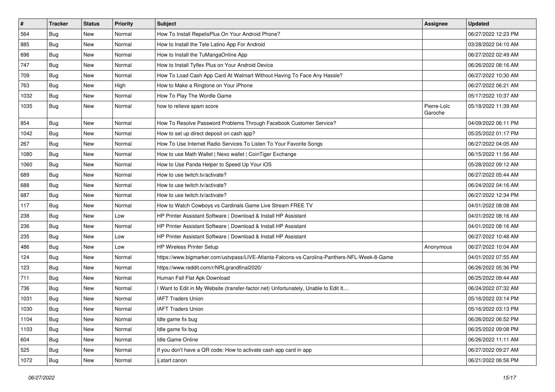| $\pmb{\#}$ | <b>Tracker</b> | <b>Status</b> | Priority | <b>Subject</b>                                                                               | <b>Assignee</b>        | <b>Updated</b>      |
|------------|----------------|---------------|----------|----------------------------------------------------------------------------------------------|------------------------|---------------------|
| 564        | Bug            | New           | Normal   | How To Install RepelisPlus On Your Android Phone?                                            |                        | 06/27/2022 12:23 PM |
| 885        | Bug            | <b>New</b>    | Normal   | How to Install the Tele Latino App For Android                                               |                        | 03/28/2022 04:10 AM |
| 696        | Bug            | New           | Normal   | How to Install the TuMangaOnline App                                                         |                        | 06/27/2022 02:49 AM |
| 747        | Bug            | New           | Normal   | How to Install Tyflex Plus on Your Android Device                                            |                        | 06/26/2022 08:16 AM |
| 709        | Bug            | New           | Normal   | How To Load Cash App Card At Walmart Without Having To Face Any Hassle?                      |                        | 06/27/2022 10:30 AM |
| 763        | Bug            | New           | High     | How to Make a Ringtone on Your iPhone                                                        |                        | 06/27/2022 06:21 AM |
| 1032       | Bug            | New           | Normal   | How To Play The Wordle Game                                                                  |                        | 05/17/2022 10:37 AM |
| 1035       | Bug            | New           | Normal   | how to relieve spam score                                                                    | Pierre-Loïc<br>Garoche | 05/18/2022 11:39 AM |
| 854        | Bug            | New           | Normal   | How To Resolve Password Problems Through Facebook Customer Service?                          |                        | 04/09/2022 06:11 PM |
| 1042       | Bug            | New           | Normal   | How to set up direct deposit on cash app?                                                    |                        | 05/25/2022 01:17 PM |
| 267        | Bug            | New           | Normal   | How To Use Internet Radio Services To Listen To Your Favorite Songs                          |                        | 06/27/2022 04:05 AM |
| 1080       | Bug            | New           | Normal   | How to use Math Wallet   Nexo wallet   CoinTiger Exchange                                    |                        | 06/15/2022 11:56 AM |
| 1060       | Bug            | New           | Normal   | How to Use Panda Helper to Speed Up Your iOS                                                 |                        | 05/28/2022 09:12 AM |
| 689        | Bug            | <b>New</b>    | Normal   | How to use twitch.tv/activate?                                                               |                        | 06/27/2022 05:44 AM |
| 688        | Bug            | New           | Normal   | How to use twitch.tv/activate?                                                               |                        | 06/24/2022 04:16 AM |
| 687        | <b>Bug</b>     | New           | Normal   | How to use twitch.tv/activate?                                                               |                        | 06/27/2022 12:34 PM |
| 117        | Bug            | <b>New</b>    | Normal   | How to Watch Cowboys vs Cardinals Game Live Stream FREE TV                                   |                        | 04/01/2022 08:08 AM |
| 238        | <b>Bug</b>     | New           | Low      | HP Printer Assistant Software   Download & Install HP Assistant                              |                        | 04/01/2022 08:16 AM |
| 236        | Bug            | New           | Normal   | HP Printer Assistant Software   Download & Install HP Assistant                              |                        | 04/01/2022 08:16 AM |
| 235        | Bug            | New           | Low      | HP Printer Assistant Software   Download & Install HP Assistant                              |                        | 06/27/2022 10:48 AM |
| 486        | <b>Bug</b>     | New           | Low      | <b>HP Wireless Printer Setup</b>                                                             | Anonymous              | 06/27/2022 10:04 AM |
| 124        | Bug            | New           | Normal   | https://www.bigmarker.com/ustvpass/LIVE-Atlanta-Falcons-vs-Carolina-Panthers-NFL-Week-8-Game |                        | 04/01/2022 07:55 AM |
| 123        | <b>Bug</b>     | New           | Normal   | https://www.reddit.com/r/NRLgrandfinal2020/                                                  |                        | 06/26/2022 05:36 PM |
| 711        | Bug            | New           | Normal   | Human Fall Flat Apk Download                                                                 |                        | 06/25/2022 09:44 AM |
| 736        | <b>Bug</b>     | New           | Normal   | Want to Edit in My Website (transfer-factor.net) Unfortunately, Unable to Edit It            |                        | 06/24/2022 07:32 AM |
| 1031       | Bug            | <b>New</b>    | Normal   | <b>IAFT Traders Union</b>                                                                    |                        | 05/16/2022 03:14 PM |
| 1030       | <b>Bug</b>     | <b>New</b>    | Normal   | <b>IAFT Traders Union</b>                                                                    |                        | 05/16/2022 03:13 PM |
| 1104       | <b>Bug</b>     | New           | Normal   | Idle game fix bug                                                                            |                        | 06/26/2022 06:52 PM |
| 1103       | Bug            | New           | Normal   | Idle game fix bug                                                                            |                        | 06/25/2022 09:08 PM |
| 604        | Bug            | New           | Normal   | Idle Game Online                                                                             |                        | 06/26/2022 11:11 AM |
| 525        | Bug            | New           | Normal   | If you don't have a QR code: How to activate cash app card in app                            |                        | 06/27/2022 09:27 AM |
| 1072       | <b>Bug</b>     | New           | Normal   | ij.start canon                                                                               |                        | 06/21/2022 06:56 PM |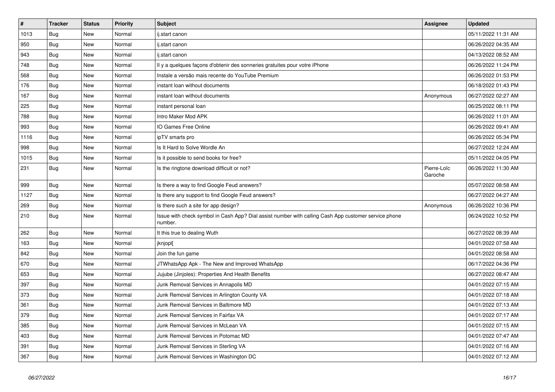| $\vert$ # | <b>Tracker</b> | <b>Status</b> | <b>Priority</b> | Subject                                                                                                         | <b>Assignee</b>        | <b>Updated</b>      |
|-----------|----------------|---------------|-----------------|-----------------------------------------------------------------------------------------------------------------|------------------------|---------------------|
| 1013      | <b>Bug</b>     | New           | Normal          | ij.start canon                                                                                                  |                        | 05/11/2022 11:31 AM |
| 950       | Bug            | <b>New</b>    | Normal          | ij.start canon                                                                                                  |                        | 06/26/2022 04:35 AM |
| 943       | Bug            | New           | Normal          | ij.start canon                                                                                                  |                        | 04/13/2022 08:52 AM |
| 748       | Bug            | <b>New</b>    | Normal          | Il y a quelques façons d'obtenir des sonneries gratuites pour votre iPhone                                      |                        | 06/26/2022 11:24 PM |
| 568       | Bug            | <b>New</b>    | Normal          | Instale a versão mais recente do YouTube Premium                                                                |                        | 06/26/2022 01:53 PM |
| 176       | <b>Bug</b>     | New           | Normal          | instant loan without documents                                                                                  |                        | 06/18/2022 01:43 PM |
| 167       | Bug            | New           | Normal          | instant loan without documents                                                                                  | Anonymous              | 06/27/2022 02:27 AM |
| 225       | <b>Bug</b>     | New           | Normal          | instant personal loan                                                                                           |                        | 06/25/2022 08:11 PM |
| 788       | <b>Bug</b>     | New           | Normal          | Intro Maker Mod APK                                                                                             |                        | 06/26/2022 11:01 AM |
| 993       | <b>Bug</b>     | <b>New</b>    | Normal          | IO Games Free Online                                                                                            |                        | 06/26/2022 09:41 AM |
| 1116      | Bug            | New           | Normal          | ipTV smarts pro                                                                                                 |                        | 06/26/2022 05:34 PM |
| 998       | Bug            | New           | Normal          | Is It Hard to Solve Wordle An                                                                                   |                        | 06/27/2022 12:24 AM |
| 1015      | Bug            | New           | Normal          | Is it possible to send books for free?                                                                          |                        | 05/11/2022 04:05 PM |
| 231       | <b>Bug</b>     | <b>New</b>    | Normal          | Is the ringtone download difficult or not?                                                                      | Pierre-Loïc<br>Garoche | 06/26/2022 11:30 AM |
| 999       | <b>Bug</b>     | New           | Normal          | Is there a way to find Google Feud answers?                                                                     |                        | 05/07/2022 08:58 AM |
| 1127      | Bug            | <b>New</b>    | Normal          | Is there any support to find Google Feud answers?                                                               |                        | 06/27/2022 04:27 AM |
| 269       | <b>Bug</b>     | <b>New</b>    | Normal          | Is there such a site for app design?                                                                            | Anonymous              | 06/26/2022 10:36 PM |
| 210       | Bug            | New           | Normal          | Issue with check symbol in Cash App? Dial assist number with calling Cash App customer service phone<br>number. |                        | 06/24/2022 10:52 PM |
| 262       | <b>Bug</b>     | <b>New</b>    | Normal          | It this true to dealing Wuth                                                                                    |                        | 06/27/2022 08:39 AM |
| 163       | <b>Bug</b>     | <b>New</b>    | Normal          | jknjopl[                                                                                                        |                        | 04/01/2022 07:58 AM |
| 842       | Bug            | <b>New</b>    | Normal          | Join the fun game                                                                                               |                        | 04/01/2022 08:58 AM |
| 670       | <b>Bug</b>     | <b>New</b>    | Normal          | JTWhatsApp Apk - The New and Improved WhatsApp                                                                  |                        | 06/17/2022 04:36 PM |
| 653       | Bug            | <b>New</b>    | Normal          | Jujube (Jinjoles): Properties And Health Benefits                                                               |                        | 06/27/2022 08:47 AM |
| 397       | Bug            | New           | Normal          | Junk Removal Services in Annapolis MD                                                                           |                        | 04/01/2022 07:15 AM |
| 373       | <b>Bug</b>     | New           | Normal          | Junk Removal Services in Arlington County VA                                                                    |                        | 04/01/2022 07:18 AM |
| 361       | <b>Bug</b>     | <b>New</b>    | Normal          | Junk Removal Services in Baltimore MD                                                                           |                        | 04/01/2022 07:13 AM |
| 379       | <b>Bug</b>     | <b>New</b>    | Normal          | Junk Removal Services in Fairfax VA                                                                             |                        | 04/01/2022 07:17 AM |
| 385       | <b>Bug</b>     | <b>New</b>    | Normal          | Junk Removal Services in McLean VA                                                                              |                        | 04/01/2022 07:15 AM |
| 403       | Bug            | New           | Normal          | Junk Removal Services in Potomac MD                                                                             |                        | 04/01/2022 07:47 AM |
| 391       | Bug            | <b>New</b>    | Normal          | Junk Removal Services in Sterling VA                                                                            |                        | 04/01/2022 07:16 AM |
| 367       | <b>Bug</b>     | <b>New</b>    | Normal          | Junk Removal Services in Washington DC                                                                          |                        | 04/01/2022 07:12 AM |